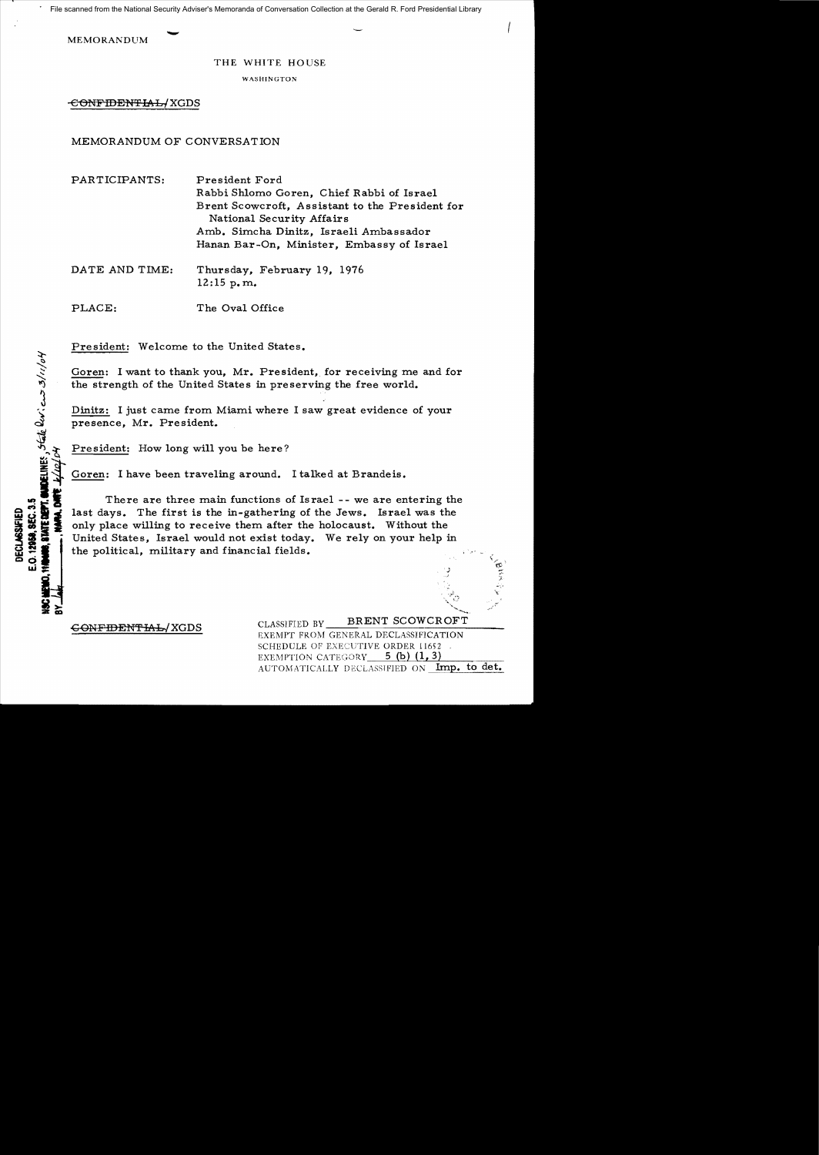File scanned from the National Security Adviser's Memoranda of Conversation Collection at the Gerald R. Ford Presidential Library

**MEMORANDUM** 

## THE WHITE HOUSE

**WASHINGTON** 

-€eNFIDEN'i'IAL/XGDS

## MEMORANDUM OF CONVERSATION

PARTICIPANTS: President Ford Rabbi Shlomo Goren, Chief Rabbi of Israel Brent Scowcroft, Assistant to the President for National Security Affairs Amb. Simcha Dinitz, Israeli Ambassador Hanan Bar-On, Minister, Embassy of Israel

DATE AND TIME: Thursday, February 19, 1976 12:15 p.m.

PLACE: The Oval Office

President: Welcome to the United States.

Goren: I want to thank you, Mr. President, for receiving me and for the strength of the United States in preserving the free world.

Dinitz: I just came from Miami where I saw great evidence of your presence, Mr. President. Eoren: I want to thank you, Mr. President: I want to thank you, Mr. President<br>  $\frac{1}{3}$  President: I just came from Miami where<br>
presence, Mr. President.<br>
President: How long will you be here?

Goren: I have been traveling around. I talked at Brandeis.

 $\begin{picture}(180,10) \put(0,0){\vector(1,0){10}} \put(1,0){\vector(1,0){10}} \put(1,0){\vector(1,0){10}} \put(1,0){\vector(1,0){10}} \put(1,0){\vector(1,0){10}} \put(1,0){\vector(1,0){10}} \put(1,0){\vector(1,0){10}} \put(1,0){\vector(1,0){10}} \put(1,0){\vector(1,0){10}} \put(1,0){\vector(1,0){10}} \put(1,0){\vector(1,0){10}} \put(1,0){\vector(1,0){10}} \put(1$ 

There are three main functions of Israel -- we are entering the<br> **Solution** last days. The first is the in-gathering of the Jews. Israel was the<br>
only place willing to receive them after the holocaust. Without the<br>
United last days. The first is the in-gathering of the Jews. Israel was the only place willing to receive them after the holocaust. Without the  $\frac{11}{20}$   $\frac{11}{20}$   $\frac{11}{20}$  only place willing to receive them after the holocaust. Without the<br> $\frac{11}{20}$   $\frac{11}{20}$  United States, Israel would not exist today. We rely on your help in **LE CONTRACT CONTRACT CONTRACT United States, Israel would not exist today**<br> **CO-I LE CO-I LE POLITICAL**, military and financial fields.

DECLASSIFIED

CONFIDENTIAL/XGDS<br>EXEMPT FROM GENERAL DECLASSIFICATION SCHEDULE OF EXECUTIVE ORDER 11652 EXEMPTION CATEGORY  $5$  (b)  $(1, 3)$ AUTOMATICALLY DECLASSIFIED ON Imp. to det.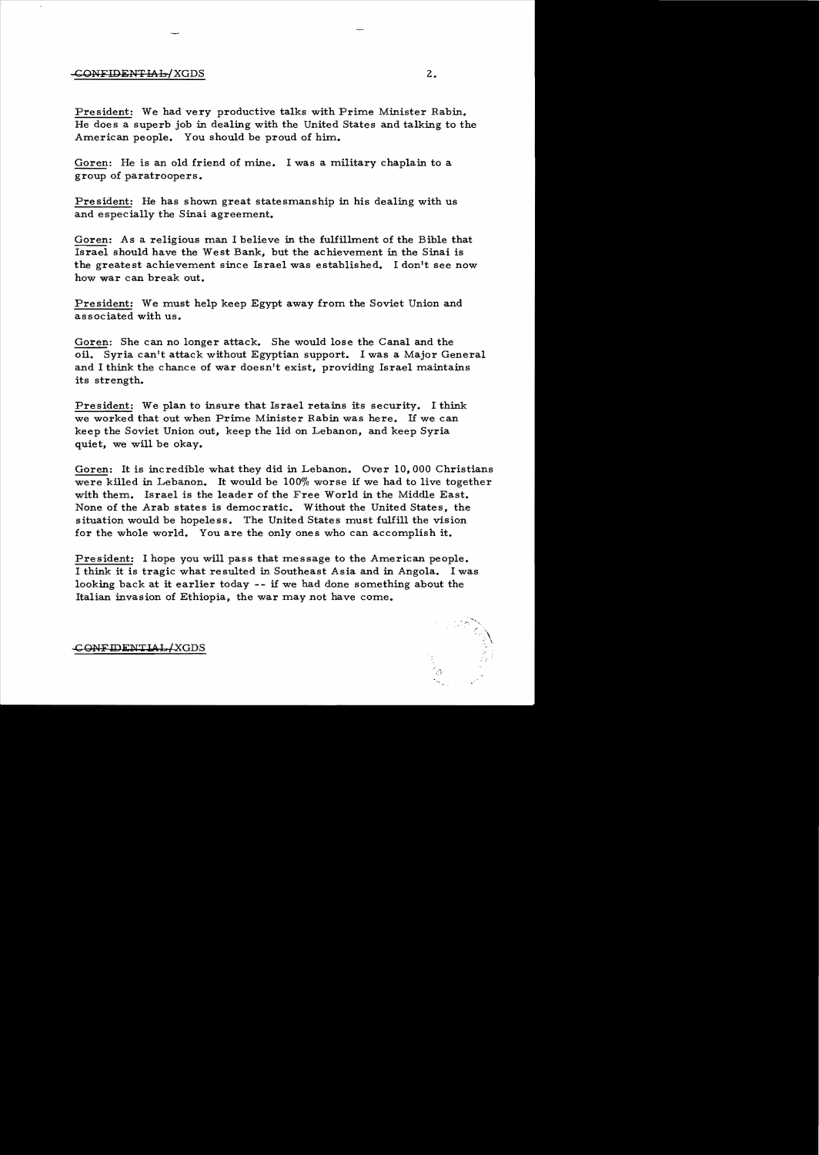## -CONFIDENTMh!XGDS 2.

President: We had very productive talks with Prime Minister Rabin. He does a superb job in dealing with the United States and talking to the American people. You should be proud of him.

Goren: He is an old friend of mine. I was a military chaplain to a group of paratroopers.

President: He has shown great statesmanship in his dealing with us and especially the Sinai agreement.

Goren: As a religious man I believe in the fulfillment of the Bible that Israel should have the West Bank, but the achievement in the Sinai is the greatest achievement since Israel was established. I don't see now how war can break out.

President: We must help keep Egypt away from the Soviet Union and associated with us.

Goren: She can no longer attack. She would lose the Canal and the oil. Syria can't attack without Egyptian support. I was a Major General and I think the chance of war doesn't exist, providing Israel maintains its strength.

President: We plan to insure that Israel retains its security. I think we worked that out when Prime Minister Rabin was here. If we can keep the Soviet Union out, keep the lid on Lebanon, and keep Syria quiet, we will be okay.

Goren: It is incredible what they did in Lebanon. Over 10, 000 Christians were killed in Lebanon. It would be 100% worse if we had to live together with them. Israel is the leader of the Free World in the Middle East. None of the Arab states is democratic. Without the United States, the situation would be hopeless. The United States must fulfill the vision for the whole world. You are the only ones who can accomplish it.

President: I hope you will pass that message to the American people. I think it is tragic what resulted in Southeast Asia and in Angola. I was looking back at it earlier today  $-$ - if we had done something about the Italian invasion of Ethiopia, the war may not have come.

CONFIDENTIAL/XGDS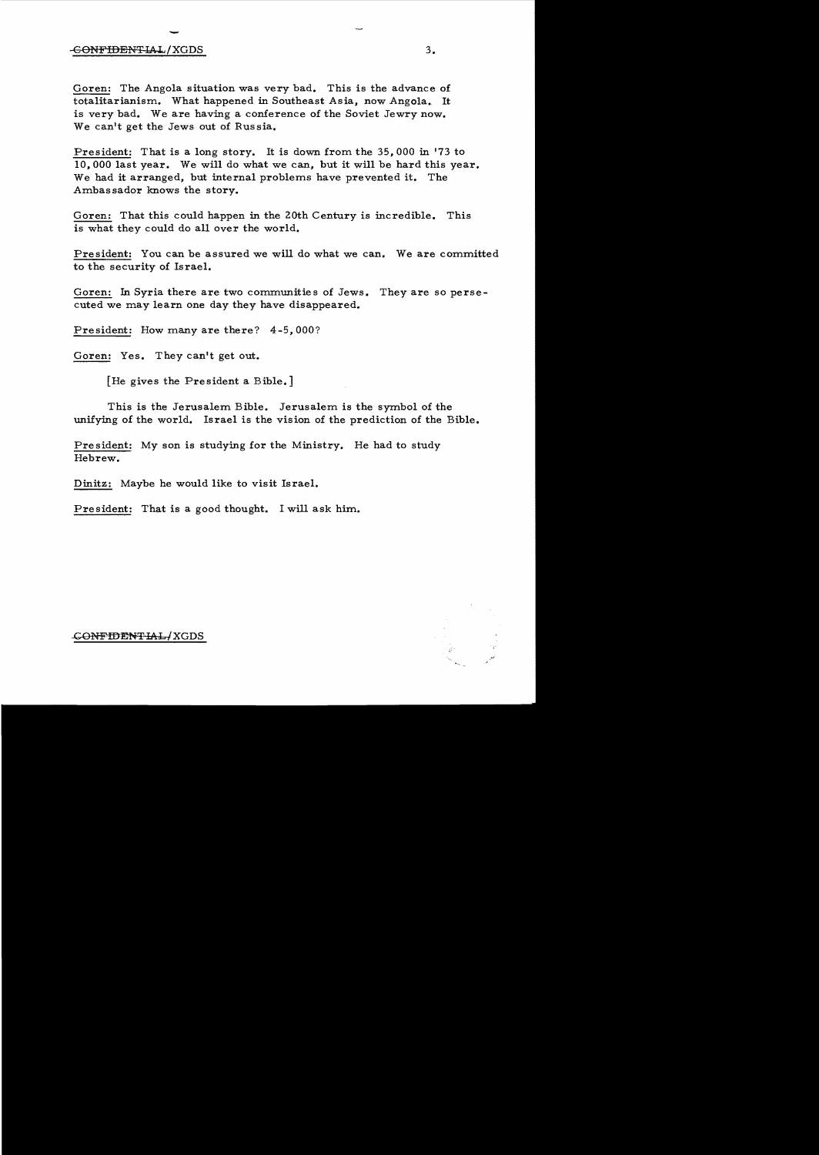## $\overline{a}$ -GONFIDENTIAL/XGDS 3.

Goren: The Angola situation was very bad. This is the advance of totalitarianism. What happened in Southeast Asia, now Angola. It is very bad. We are having a conference of the Soviet Jewry now. We can't get the Jews out of Russia.

President: That is a long story. It is down from the 35,000 in '73 to 10,000 last year. We will do what we can, but it will be hard this year. We had it arranged, but internal problems have prevented it. The Ambassador knows the story.

Goren: That this could happen in the 20th Century is incredible. This is what they could do all over the world.

President: You can be assured we will do what we can. We are committed to the security of Israel.

Goren: In Syria there are two communities of Jews. They are so persecuted we may learn one day they have disappeared.

President: How many are there? 4-5,000?

Goren: Yes. They can't get out.

[He gives the President a Bible.]

This is the Jerusalem Bible. Jerusalem is the symbol of the unifying of the world. Israel is the vision of the prediction of the Bible.

President: My son is studying for the Ministry. He had to study Hebrew.

Dinitz: Maybe he would like to visit Israel.

President: That is a good thought. I will ask him.

<del>CONFIDENTIAL/</del>XGDS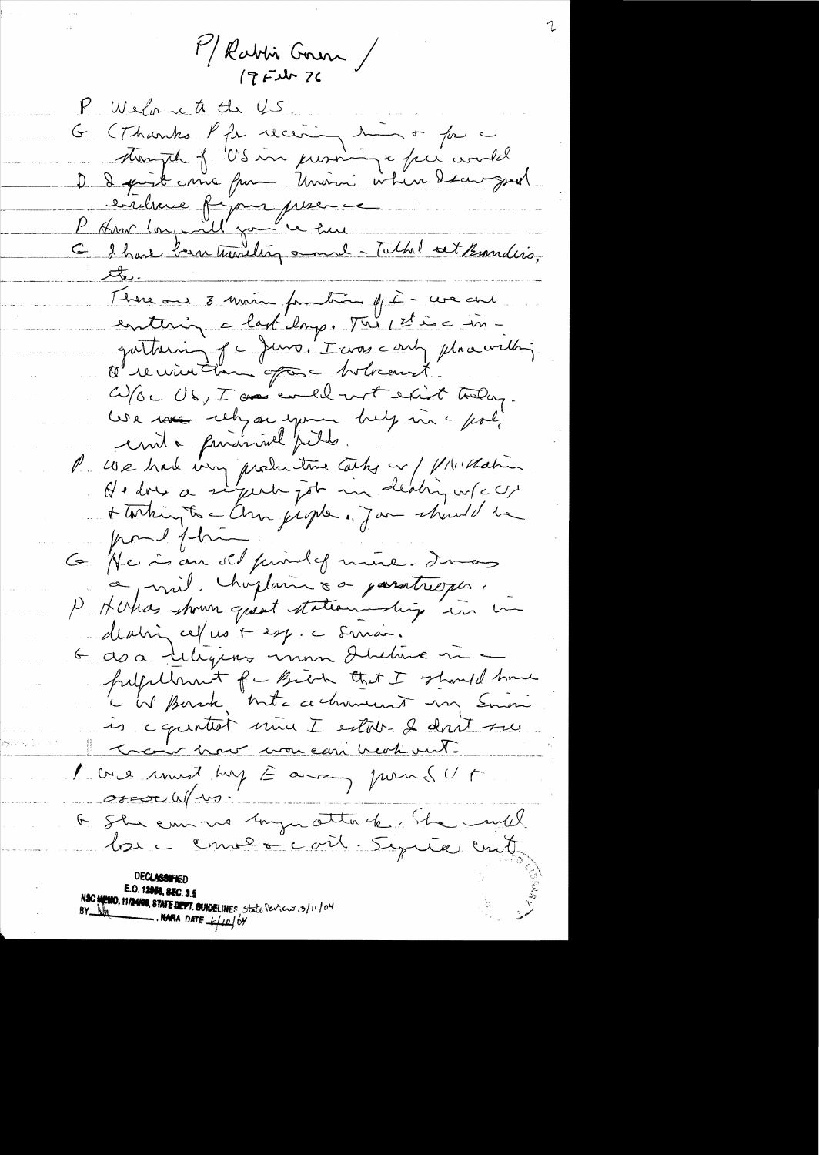P/Rabbis Gran /

P Weland to de US. 1 min or far a (Thanks Pfr receiving mondel<br>Avanph f US in promine face world  $G_{\mu\nu}$ D I quit ma fur Main when I saw great l'établise figure prier ce me la fonction de la fonction de la fonction de la fonction de la fonction de la fonction de la fonction de la fonction de la fonction de la fonction de la fonction de la fonction de la fonction te. Thise and 8 mois fourtion of it - we can enterin a last emp. This stine ingathering of c Juno. I was conty place with Ouvininten opt Mercurit W/OC US, I am evel with the today. We race rely on your help in a feat unité privativel pette. P We had very productive Cathy en / 1/11 Mahin + Torting to a Chan just . Jan should be port fine G He is an old purilef mire. I mas a mil. chaptain sa paratrioper. P Horas shown quest statementing in deatin cefus + esp. c sinai. 6 ava deligious unon direture m freige Unit for Birth that I should have c W Bornk, Inte achimient un Emini is a quintest mine I estable 2 dont sur Train how won can heat out. 1 avenues must hap E among pour sur over W/10. F. She emmers longer attack the mild los commencair. Signéer ent **UECLABANEL** E.O. 12958, SEC. 3.5 **MEMO, 11/24/08, 87ATE DEPT. GUNDELINES** State Pericus 3/11/04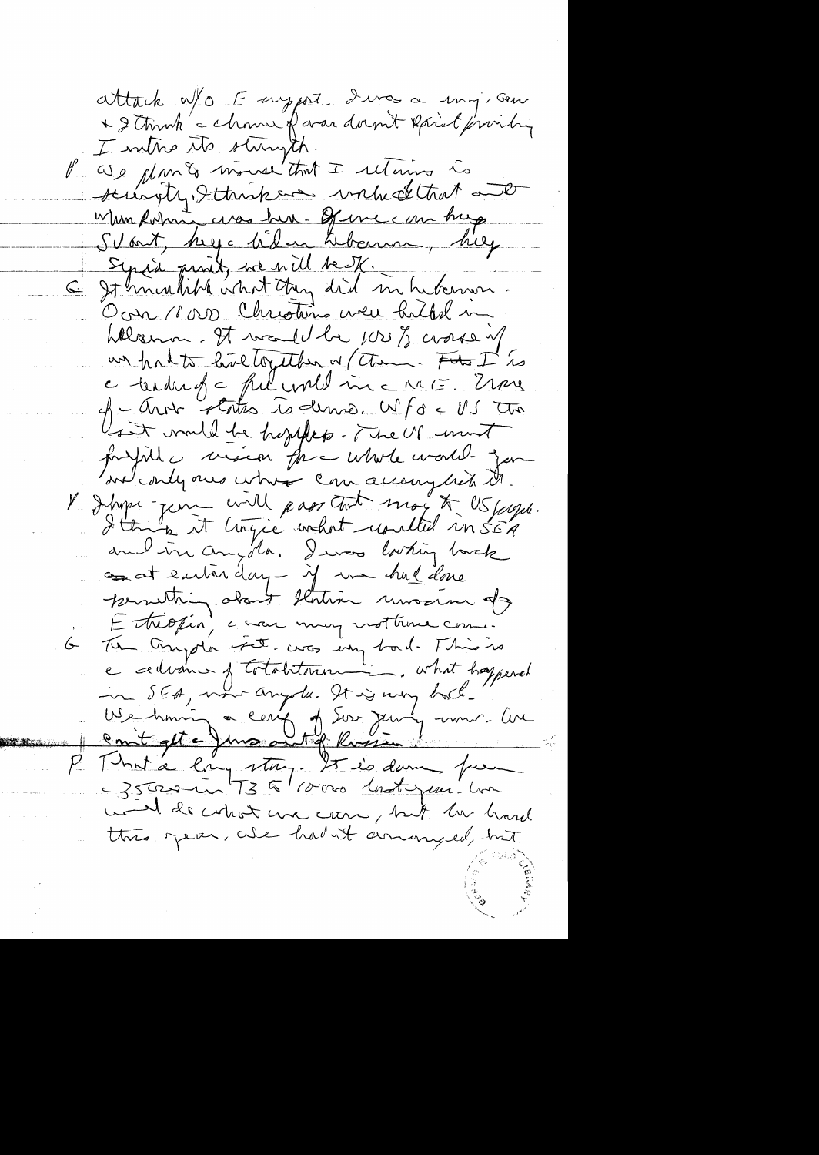attack W/O E suggest dura a sing, seu \* I touch a chouse of war doemt Raint friendring I metro the stampth. P as a glants mouse that I returns is scienty, Ithinkore without and When Robins was her. Of we can hap Svart, keya liden Kbanne, hiez Syria print, we will be IK. 6 St minutible what they did in hermon. Ocur 1000 Christins were hilled in Welcomm. It would be jose y crosse of un halts haltzetter w/ them. For I is a tendent a ful une ma me more  $cf - Antr$  states is denner  $Mf$ d <  $US$  tro Usit would be hypped. The US unt fondit de mine par utile contre jam V J hype-jerre will pass tout moy to US juge.<br>I think it lingue what resulted in SEA concet entire day - if we hal done permetting about Ilodion unosine de The Anyola Fet, cros un bad. This is<br>a celvant of totalitorine, what happened  $6<sub>1</sub>$ in SEA, une anyste. It is very holl-We him a ceny of Sor Juny univ. Ave P That a long story 25 is donne fue world's what we can, but he hard this year, when hadn't amongled, but